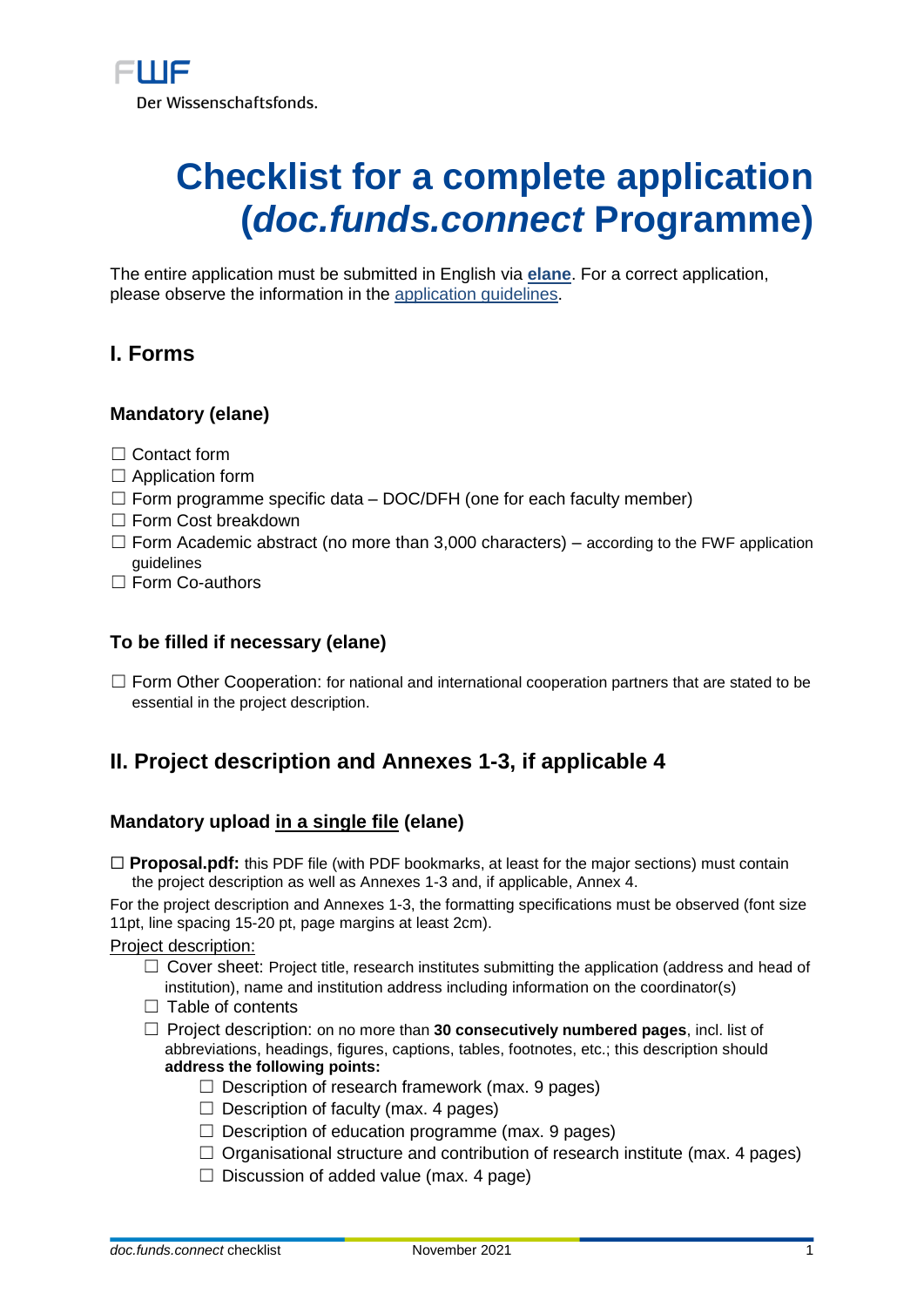# **Checklist for a complete application (***doc.funds.connect* **Programme)**

The entire application must be submitted in English via **[elane](https://elane.fwf.ac.at/page/panel/loginpanel?6)**. For a correct application, please observe the information in the [application guidelines.](https://www.fwf.ac.at/de/forschungsfoerderung/antragstellung/docfundsconnect)

## **I. Forms**

## **Mandatory (elane)**

- ☐ Contact form
- $\Box$  Application form
- $\Box$  Form programme specific data DOC/DFH (one for each faculty member)
- □ Form Cost breakdown
- $\Box$  Form Academic abstract (no more than 3,000 characters) according to the FWF application guidelines
- □ Form Co-authors

#### **To be filled if necessary (elane)**

□ Form Other Cooperation: for national and international cooperation partners that are stated to be essential in the project description.

## **II. Project description and Annexes 1-3, if applicable 4**

## **Mandatory upload in a single file (elane)**

□ **Proposal.pdf:** this PDF file (with PDF bookmarks, at least for the major sections) must contain the project description as well as Annexes 1-3 and, if applicable, Annex 4.

For the project description and Annexes 1-3, the formatting specifications must be observed (font size 11pt, line spacing 15-20 pt, page margins at least 2cm).

Project description:

- $\Box$  Cover sheet: Project title, research institutes submitting the application (address and head of institution), name and institution address including information on the coordinator(s)
- $\Box$  Table of contents
- ☐ Project description: on no more than **30 consecutively numbered pages**, incl. list of abbreviations, headings, figures, captions, tables, footnotes, etc.; this description should **address the following points:**
	- $\Box$  Description of research framework (max. 9 pages)
	- $\Box$  Description of faculty (max. 4 pages)
	- $\Box$  Description of education programme (max. 9 pages)
	- $\Box$  Organisational structure and contribution of research institute (max. 4 pages)
	- $\Box$  Discussion of added value (max. 4 page)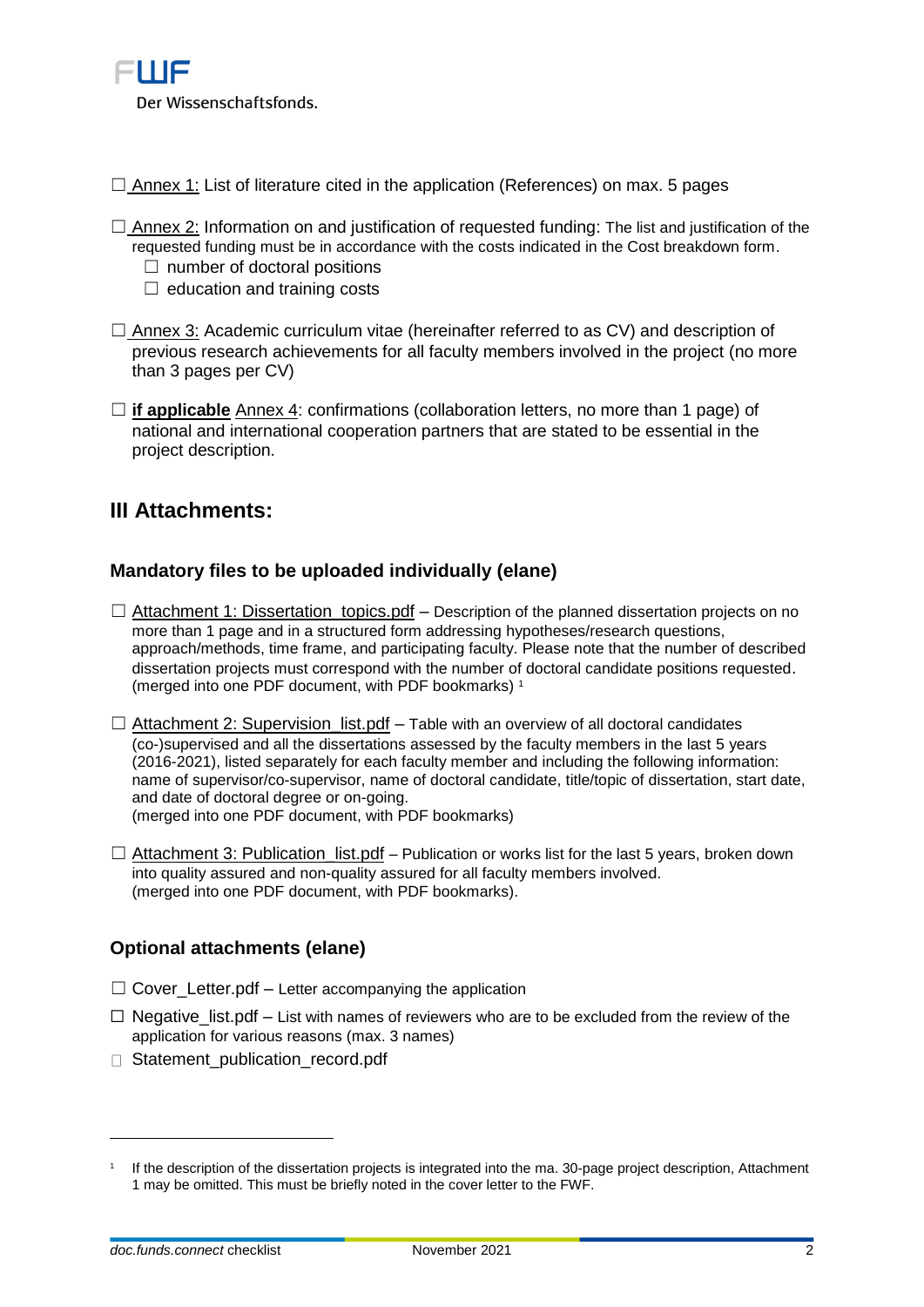

 $\Box$  Annex 1: List of literature cited in the application (References) on max. 5 pages

- $\Box$  Annex 2: Information on and justification of requested funding: The list and justification of the requested funding must be in accordance with the costs indicated in the Cost breakdown form.
	- $\Box$  number of doctoral positions
	- $\Box$  education and training costs
- $\Box$  Annex 3: Academic curriculum vitae (hereinafter referred to as CV) and description of previous research achievements for all faculty members involved in the project (no more than 3 pages per CV)
- ☐ **if applicable** Annex 4: confirmations (collaboration letters, no more than 1 page) of national and international cooperation partners that are stated to be essential in the project description.

## **III Attachments:**

## **Mandatory files to be uploaded individually (elane)**

- $\Box$  Attachment 1: Dissertation\_topics.pdf Description of the planned dissertation projects on no more than 1 page and in a structured form addressing hypotheses/research questions, approach/methods, time frame, and participating faculty. Please note that the number of described dissertation projects must correspond with the number of doctoral candidate positions requested. (merged into one PDF document, with PDF bookmarks) <sup>1</sup>
- $\Box$  Attachment 2: Supervision list.pdf Table with an overview of all doctoral candidates (co-)supervised and all the dissertations assessed by the faculty members in the last 5 years (2016-2021), listed separately for each faculty member and including the following information: name of supervisor/co-supervisor, name of doctoral candidate, title/topic of dissertation, start date, and date of doctoral degree or on-going. (merged into one PDF document, with PDF bookmarks)
- $\Box$  Attachment 3: Publication list.pdf Publication or works list for the last 5 years, broken down into quality assured and non-quality assured for all faculty members involved. (merged into one PDF document, with PDF bookmarks).

## **Optional attachments (elane)**

- $\Box$  Cover Letter.pdf Letter accompanying the application
- $\Box$  Negative\_list.pdf List with names of reviewers who are to be excluded from the review of the application for various reasons (max. 3 names)
- Statement\_publication\_record.pdf

 $\overline{a}$ 

<sup>1</sup> If the description of the dissertation projects is integrated into the ma. 30-page project description, Attachment 1 may be omitted. This must be briefly noted in the cover letter to the FWF.